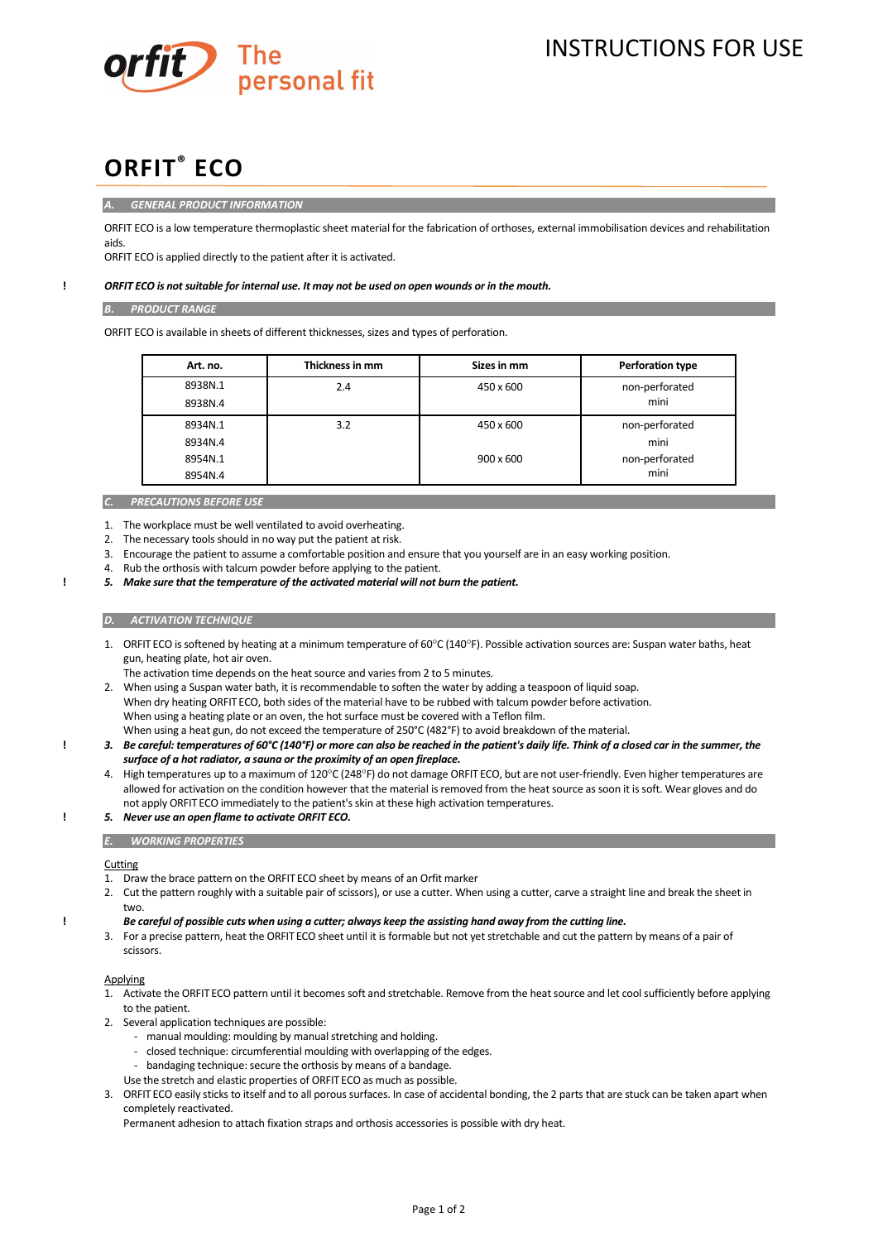

INSTRUCTIONS FOR USE

# **ORFIT® ECO**

## *A. GENERAL PRODUCT INFORMATION*

ORFIT ECO is a low temperature thermoplastic sheet material for the fabrication of orthoses, external immobilisation devices and rehabilitation aids.

ORFIT ECO is applied directly to the patient after it is activated.

# **!** *ORFIT ECO is not suitable for internal use. It may not be used on open wounds or in the mouth.*

## *B. PRODUCT RANGE*

ORFIT ECO is available in sheets of different thicknesses, sizes and types of perforation.

| Art. no. | Thickness in mm | Sizes in mm      | <b>Perforation type</b> |
|----------|-----------------|------------------|-------------------------|
| 8938N.1  | 2.4             | 450 x 600        | non-perforated          |
| 8938N.4  |                 |                  | mini                    |
| 8934N.1  | 3.2             | 450 x 600        | non-perforated          |
| 8934N.4  |                 |                  | mini                    |
| 8954N.1  |                 | $900 \times 600$ | non-perforated          |
| 8954N.4  |                 |                  | mini                    |

## *C. PRECAUTIONS BEFORE USE*

1. The workplace must be well ventilated to avoid overheating.

- 2. The necessary tools should in no way put the patient at risk.
- 3. Encourage the patient to assume a comfortable position and ensure that you yourself are in an easy working position.
- 4. Rub the orthosis with talcum powder before applying to the patient.
- **!** *5. Make sure that the temperature of the activated material will not burn the patient.*

## *D. ACTIVATION TECHNIQUE*

- 1. ORFIT ECO is softened by heating at a minimum temperature of 60°C (140°F). Possible activation sources are: Suspan water baths, heat gun, heating plate, hot air oven.
- The activation time depends on the heat source and varies from 2 to 5 minutes.

2. When using a Suspan water bath, it is recommendable to soften the water by adding a teaspoon of liquid soap. When dry heating ORFIT ECO, both sides of the material have to be rubbed with talcum powder before activation. When using a heating plate or an oven, the hot surface must be covered with a Teflon film. When using a heat gun, do not exceed the temperature of 250°C (482°F) to avoid breakdown of the material.

- **!** *3. Be careful: temperatures of 60°C (140°F) or more can also be reached in the patient's daily life. Think of a closed car in the summer, the surface of a hot radiator, a sauna or the proximity of an open fireplace.*
	- 4. High temperatures up to a maximum of 120°C (248°F) do not damage ORFIT ECO, but are not user-friendly. Even higher temperatures are allowed for activation on the condition however that the material is removed from the heat source as soon it is soft. Wear gloves and do not apply ORFIT ECO immediately to the patient's skin at these high activation temperatures.

# **!** *5. Never use an open flame to activate ORFIT ECO.*

#### *E. WORKING PROPERTIES*

# **Cutting**

- 1. Draw the brace pattern on the ORFIT ECO sheet by means of an Orfit marker
- 2. Cut the pattern roughly with a suitable pair of scissors), or use a cutter. When using a cutter, carve a straight line and break the sheet in two.

#### **!** *Be careful of possible cuts when using a cutter; always keep the assisting hand away from the cutting line.*

3. For a precise pattern, heat the ORFIT ECO sheet until it is formable but not yet stretchable and cut the pattern by means of a pair of scissors.

## Applying

- 1. Activate the ORFIT ECO pattern until it becomes soft and stretchable. Remove from the heat source and let cool sufficiently before applying to the patient.
- 2. Several application techniques are possible:
	- manual moulding: moulding by manual stretching and holding.
	- closed technique: circumferential moulding with overlapping of the edges.
	- bandaging technique: secure the orthosis by means of a bandage.
	- Use the stretch and elastic properties of ORFITECO as much as possible.
- 3. ORFIT ECO easily sticks to itself and to all porous surfaces. In case of accidental bonding, the 2 parts that are stuck can be taken apart when completely reactivated.

Permanent adhesion to attach fixation straps and orthosis accessories is possible with dry heat.